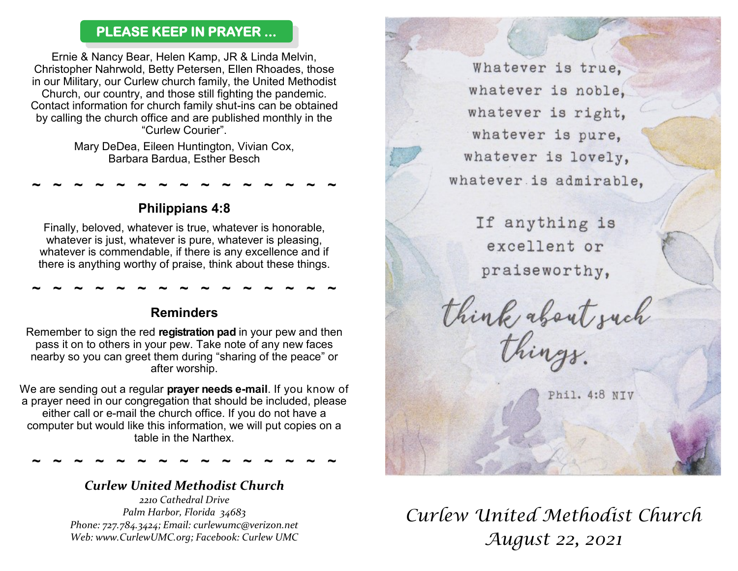### **PLEASE KEEP IN PRAYER ...**

Ernie & Nancy Bear, Helen Kamp, JR & Linda Melvin, Christopher Nahrwold, Betty Petersen, Ellen Rhoades, those in our Military, our Curlew church family, the United Methodist Church, our country, and those still fighting the pandemic. Contact information for church family shut-ins can be obtained by calling the church office and are published monthly in the "Curlew Courier".

> Mary DeDea, Eileen Huntington, Vivian Cox, Barbara Bardua, Esther Besch

> > **Philippians 4:8**

**~ ~ ~ ~ ~ ~ ~ ~ ~ ~ ~ ~ ~ ~ ~** 

Finally, beloved, whatever is true, whatever is honorable, whatever is just, whatever is pure, whatever is pleasing, whatever is commendable, if there is any excellence and if there is anything worthy of praise, think about these things.

**~ ~ ~ ~ ~ ~ ~ ~ ~ ~ ~ ~ ~ ~ ~** 

### **Reminders**

Remember to sign the red **registration pad** in your pew and then pass it on to others in your pew. Take note of any new faces nearby so you can greet them during "sharing of the peace" or after worship.

We are sending out a regular **prayer needs e-mail**. If you know of a prayer need in our congregation that should be included, please either call or e-mail the church office. If you do not have a computer but would like this information, we will put copies on a table in the Narthex.

**~ ~ ~ ~ ~ ~ ~ ~ ~ ~ ~ ~ ~ ~ ~**

## *Curlew United Methodist Church*

*2210 Cathedral Drive Palm Harbor, Florida 34683 Phone: 727.784.3424; Email: curlewumc@verizon.net Web: www.CurlewUMC.org; Facebook: Curlew UMC*

Whatever is true. whatever is noble. whatever is right, whatever is pure. whatever is lovely, whatever is admirable.

> If anything is excellent or praiseworthy,

think about such<br>things.

Phil. 4:8 NTV

# *Curlew United Methodist Church August 22, 2021*